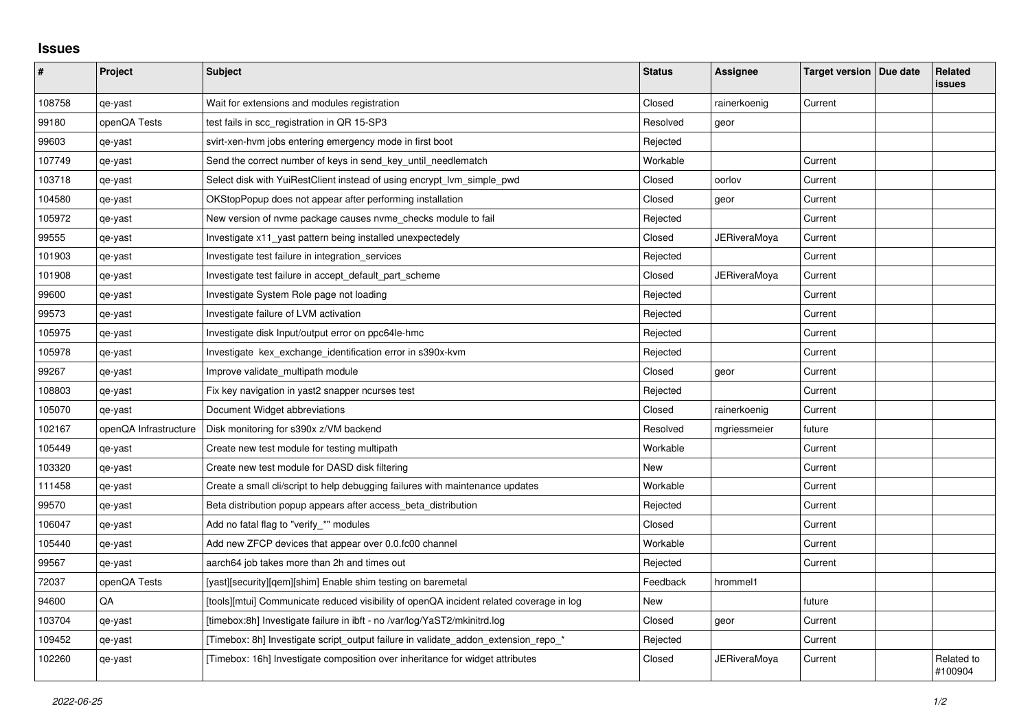## **Issues**

| $\vert$ # | Project               | <b>Subject</b>                                                                          | <b>Status</b> | Assignee            | Target version   Due date | Related<br><b>issues</b> |
|-----------|-----------------------|-----------------------------------------------------------------------------------------|---------------|---------------------|---------------------------|--------------------------|
| 108758    | qe-yast               | Wait for extensions and modules registration                                            | Closed        | rainerkoenig        | Current                   |                          |
| 99180     | openQA Tests          | test fails in scc_registration in QR 15-SP3                                             | Resolved      | geor                |                           |                          |
| 99603     | qe-yast               | svirt-xen-hvm jobs entering emergency mode in first boot                                | Rejected      |                     |                           |                          |
| 107749    | qe-yast               | Send the correct number of keys in send key until needlematch                           | Workable      |                     | Current                   |                          |
| 103718    | qe-yast               | Select disk with YuiRestClient instead of using encrypt Ivm simple pwd                  | Closed        | oorlov              | Current                   |                          |
| 104580    | qe-yast               | OKStopPopup does not appear after performing installation                               | Closed        | geor                | Current                   |                          |
| 105972    | qe-yast               | New version of nyme package causes nyme checks module to fail                           | Rejected      |                     | Current                   |                          |
| 99555     | qe-yast               | Investigate x11_yast pattern being installed unexpectedely                              | Closed        | <b>JERiveraMoya</b> | Current                   |                          |
| 101903    | qe-yast               | Investigate test failure in integration services                                        | Rejected      |                     | Current                   |                          |
| 101908    | qe-yast               | Investigate test failure in accept_default_part_scheme                                  | Closed        | JERiveraMoya        | Current                   |                          |
| 99600     | qe-yast               | Investigate System Role page not loading                                                | Rejected      |                     | Current                   |                          |
| 99573     | qe-yast               | Investigate failure of LVM activation                                                   | Rejected      |                     | Current                   |                          |
| 105975    | qe-yast               | Investigate disk Input/output error on ppc64le-hmc                                      | Rejected      |                     | Current                   |                          |
| 105978    | qe-yast               | Investigate kex_exchange_identification error in s390x-kvm                              | Rejected      |                     | Current                   |                          |
| 99267     | qe-yast               | Improve validate multipath module                                                       | Closed        | geor                | Current                   |                          |
| 108803    | qe-yast               | Fix key navigation in yast2 snapper ncurses test                                        | Rejected      |                     | Current                   |                          |
| 105070    | qe-yast               | Document Widget abbreviations                                                           | Closed        | rainerkoenig        | Current                   |                          |
| 102167    | openQA Infrastructure | Disk monitoring for s390x z/VM backend                                                  | Resolved      | mgriessmeier        | future                    |                          |
| 105449    | qe-yast               | Create new test module for testing multipath                                            | Workable      |                     | Current                   |                          |
| 103320    | qe-yast               | Create new test module for DASD disk filtering                                          | <b>New</b>    |                     | Current                   |                          |
| 111458    | qe-yast               | Create a small cli/script to help debugging failures with maintenance updates           | Workable      |                     | Current                   |                          |
| 99570     | qe-yast               | Beta distribution popup appears after access_beta_distribution                          | Rejected      |                     | Current                   |                          |
| 106047    | qe-yast               | Add no fatal flag to "verify_*" modules                                                 | Closed        |                     | Current                   |                          |
| 105440    | qe-yast               | Add new ZFCP devices that appear over 0.0.fc00 channel                                  | Workable      |                     | Current                   |                          |
| 99567     | qe-yast               | aarch64 job takes more than 2h and times out                                            | Rejected      |                     | Current                   |                          |
| 72037     | openQA Tests          | [yast][security][qem][shim] Enable shim testing on baremetal                            | Feedback      | hrommel1            |                           |                          |
| 94600     | QA                    | [tools][mtui] Communicate reduced visibility of openQA incident related coverage in log | New           |                     | future                    |                          |
| 103704    | qe-yast               | [timebox:8h] Investigate failure in ibft - no /var/log/YaST2/mkinitrd.log               | Closed        | geor                | Current                   |                          |
| 109452    | qe-yast               | [Timebox: 8h] Investigate script_output failure in validate_addon_extension_repo_*      | Rejected      |                     | Current                   |                          |
| 102260    | qe-yast               | [Timebox: 16h] Investigate composition over inheritance for widget attributes           | Closed        | JERiveraMoya        | Current                   | Related to<br>#100904    |